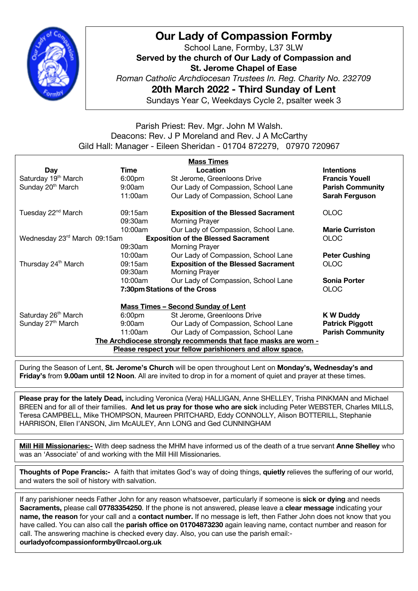

# **Our Lady of Compassion Formby**

School Lane, Formby, L37 3LW **Served by the church of Our Lady of Compassion and St. Jerome Chapel of Ease** *Roman Catholic Archdiocesan Trustees In. Reg. Charity No. 232709* **20th March 2022 - Third Sunday of Lent** Sundays Year C, Weekdays Cycle 2, psalter week 3

## Parish Priest: Rev. Mgr. John M Walsh. Deacons: Rev. J P Moreland and Rev. J A McCarthy Gild Hall: Manager - Eileen Sheridan - 01704 872279, 07970 720967

| <b>Mass Times</b>                                                          |                              |                                            |                         |
|----------------------------------------------------------------------------|------------------------------|--------------------------------------------|-------------------------|
| <b>Day</b>                                                                 | Time                         | Location                                   | <b>Intentions</b>       |
| Saturday 19 <sup>th</sup> March                                            | 6:00 <sub>pm</sub>           | St Jerome, Greenloons Drive                | <b>Francis Youell</b>   |
| Sunday 20 <sup>th</sup> March                                              | $9:00$ am                    | Our Lady of Compassion, School Lane        | <b>Parish Community</b> |
|                                                                            | 11:00am                      | Our Lady of Compassion, School Lane        | Sarah Ferguson          |
| Tuesday 22 <sup>nd</sup> March                                             | 09:15am                      | <b>Exposition of the Blessed Sacrament</b> | <b>OLOC</b>             |
|                                                                            | 09:30am                      | Morning Prayer                             |                         |
|                                                                            | 10:00am                      | Our Lady of Compassion, School Lane.       | <b>Marie Curriston</b>  |
| Wednesday 23rd March 09:15am<br><b>Exposition of the Blessed Sacrament</b> |                              |                                            | <b>OLOC</b>             |
|                                                                            | 09:30am                      | Morning Prayer                             |                         |
|                                                                            | 10:00am                      | Our Lady of Compassion, School Lane        | <b>Peter Cushing</b>    |
| Thursday 24 <sup>th</sup> March                                            | 09:15am                      | <b>Exposition of the Blessed Sacrament</b> | <b>OLOC</b>             |
|                                                                            | 09:30am                      | <b>Morning Prayer</b>                      |                         |
|                                                                            | 10:00am                      | Our Lady of Compassion, School Lane        | <b>Sonia Porter</b>     |
|                                                                            | 7:30pm Stations of the Cross |                                            | <b>OLOC</b>             |
| <b>Mass Times - Second Sunday of Lent</b>                                  |                              |                                            |                         |
| Saturday 26 <sup>th</sup> March                                            | 6:00 <sub>pm</sub>           | St Jerome, Greenloons Drive                | <b>K W Duddy</b>        |
| Sunday 27 <sup>th</sup> March                                              | 9:00am                       | Our Lady of Compassion, School Lane        | <b>Patrick Piggott</b>  |
|                                                                            | 11:00am                      | Our Lady of Compassion, School Lane        | <b>Parish Community</b> |
| The Archdiocese strongly recommends that face masks are worn -             |                              |                                            |                         |
| Please respect your fellow parishioners and allow space.                   |                              |                                            |                         |

During the Season of Lent, **St. Jerome's Church** will be open throughout Lent on **Monday's, Wednesday's and Friday's** from **9.00am until 12 Noon**. All are invited to drop in for a moment of quiet and prayer at these times.

**Please pray for the lately Dead,** including Veronica (Vera) HALLIGAN, Anne SHELLEY, Trisha PINKMAN and Michael BREEN and for all of their families. **And let us pray for those who are sick** including Peter WEBSTER, Charles MILLS, Teresa CAMPBELL, Mike THOMPSON, Maureen PRITCHARD, Eddy CONNOLLY, Alison BOTTERILL, Stephanie HARRISON, Ellen I'ANSON, Jim McAULEY, Ann LONG and Ged CUNNINGHAM

**Mill Hill Missionaries:-** With deep sadness the MHM have informed us of the death of a true servant **Anne Shelley** who was an 'Associate' of and working with the Mill Hill Missionaries.

**Thoughts of Pope Francis:-** A faith that imitates God's way of doing things, **quietly** relieves the suffering of our world, and waters the soil of history with salvation.

If any parishioner needs Father John for any reason whatsoever, particularly if someone is **sick or dying** and needs **Sacraments,** please call **07783354250**. If the phone is not answered, please leave a **clear message** indicating your **name, the reason** for your call and a **contact number.** If no message is left, then Father John does not know that you have called. You can also call the **parish office on 01704873230** again leaving name, contact number and reason for call. The answering machine is checked every day. Also, you can use the parish email: **ourladyofcompassionformby@rcaol.org.uk**